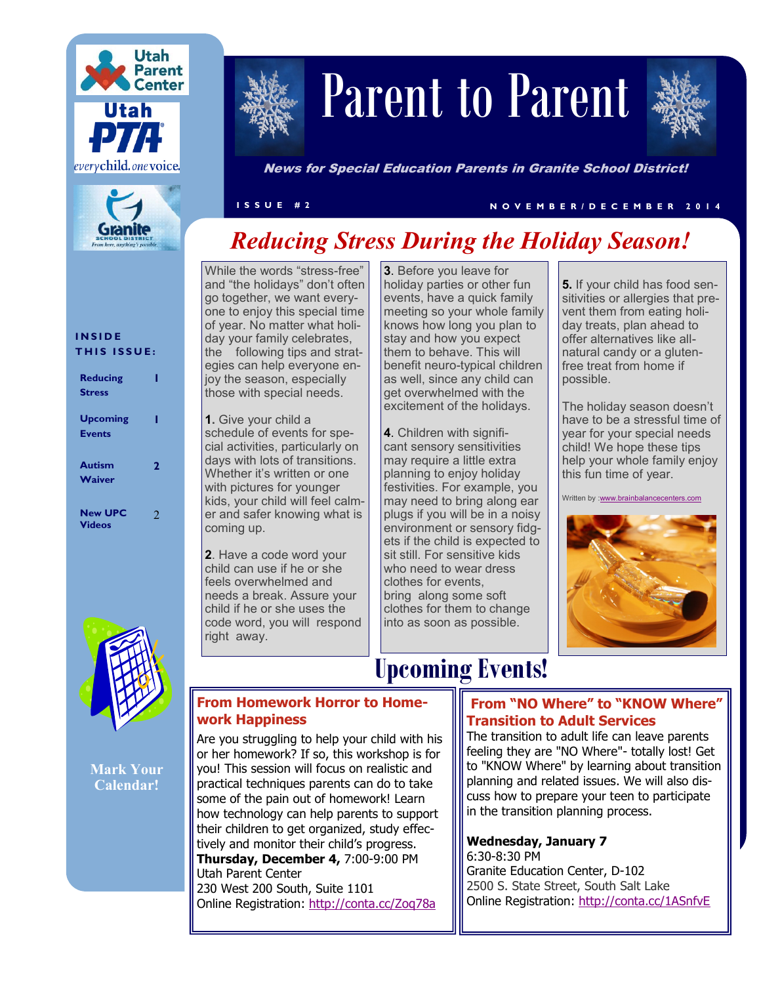



# Parent to Parent



News for Special Education Parents in Granite School District!

#### **I S S U E # 2 N O V E M B E R / D E C E M B E R 2 0 1 4**

### *Reducing Stress During the Holiday Season!*

While the words "stress-free" and "the holidays" don't often go together, we want everyone to enjoy this special time of year. No matter what holiday your family celebrates, the following tips and strategies can help everyone enjoy the season, especially those with special needs.

**1.** Give your child a schedule of events for special activities, particularly on days with lots of transitions. Whether it's written or one with pictures for younger kids, your child will feel calmer and safer knowing what is coming up.

**2**. Have a code word your child can use if he or she feels overwhelmed and needs a break. Assure your child if he or she uses the code word, you will respond right away.

**3**. Before you leave for holiday parties or other fun events, have a quick family meeting so your whole family knows how long you plan to stay and how you expect them to behave. This will benefit neuro-typical children as well, since any child can get overwhelmed with the excitement of the holidays.

**4**. Children with significant [sensory sensitivities](http://www.spdfoundation.net/)  may require a little extra planning to enjoy holiday festivities. For example, you may need to bring along ear plugs if you will be in a noisy environment or sensory fidgets if the child is expected to sit still. For sensitive kids who need to wear dress clothes for events, bring along some soft clothes for them to change into as soon as possible.

**Upcoming Events!**

**5.** If your child has food sensitivities or allergies that prevent them from eating holiday treats, plan ahead to offer alternatives like allnatural candy or a glutenfree treat from home if possible.

The holiday season doesn't have to be a stressful time of year for your special needs child! We hope these tips help your whole family enjoy this fun time of year.

Written by :[www.brainbalancecenters.com](http://www.brainbalancecenters.com)





**Mark Your Calendar!**

#### **From Homework Horror to Homework Happiness**

Are you struggling to help your child with his or her homework? If so, this workshop is for you! This session will focus on realistic and practical techniques parents can do to take some of the pain out of homework! Learn how technology can help parents to support their children to get organized, study effectively and monitor their child's progress. **Thursday, December 4,** 7:00-9:00 PM Utah Parent Center 230 West 200 South, Suite 1101 Online Registration: <http://conta.cc/Zoq78a>

#### **From "NO Where" to "KNOW Where" Transition to Adult Services**

The transition to adult life can leave parents feeling they are "NO Where"- totally lost! Get to "KNOW Where" by learning about transition planning and related issues. We will also discuss how to prepare your teen to participate in the transition planning process.

#### **Wednesday, January 7** 6:30-8:30 PM

Granite Education Center, D-102 2500 S. State Street, South Salt Lake Online Registration: <http://conta.cc/1ASnfvE>

#### **I N S I D E THIS ISSUE:**

| <b>Reducing</b><br><b>Stress</b> |   |
|----------------------------------|---|
| Upcoming<br><b>Events</b>        |   |
| <b>Autism</b><br>Waiver          | 2 |
| <b>New UPC</b><br><b>Videos</b>  | 2 |